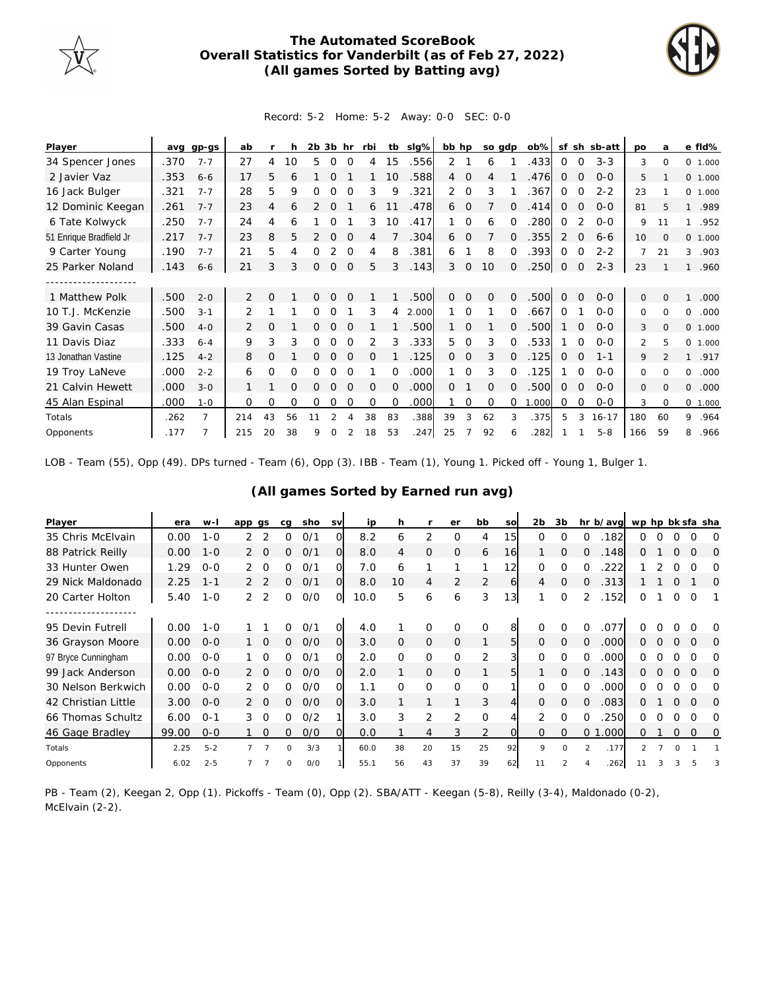

## **The Automated ScoreBook Overall Statistics for Vanderbilt (as of Feb 27, 2022) (All games Sorted by Batting avg)**



Record: 5-2 Home: 5-2 Away: 0-0 SEC: 0-0

| Player                  |      | avg gp-gs      | ab  |    | h  | $2b$ $3b$ hr |               |             | rbi      |          | tb sig% | bb hp          |                | so gdp   |          | $ob\%$ |              |             | sf sh sb-att | po      | a              | e fld%               |
|-------------------------|------|----------------|-----|----|----|--------------|---------------|-------------|----------|----------|---------|----------------|----------------|----------|----------|--------|--------------|-------------|--------------|---------|----------------|----------------------|
| 34 Spencer Jones        | .370 | $7 - 7$        | 27  | 4  | 10 | 5            | $\Omega$      | $\Omega$    | 4        | 15       | .556    | 2              |                | 6        |          | .433   | 0            | $\Omega$    | $3 - 3$      | 3       | 0              | 0 1.000              |
| 2 Javier Vaz            | .353 | $6 - 6$        | 17  | 5  | 6  |              | $\Omega$      |             |          | 10       | .588    | $\overline{4}$ | $\mathbf 0$    | 4        |          | .476   | $\Omega$     | $\Omega$    | $0 - 0$      | 5       |                | 0 1.000              |
| 16 Jack Bulger          | .321 | $7 - 7$        | 28  | 5  | 9  | 0            | $\Omega$      | $\Omega$    | 3        | 9        | .321    | 2              | $\mathbf 0$    | 3        |          | 367    | $\mathbf 0$  | $\Omega$    | $2 - 2$      | 23      |                | 0, 1,000             |
| 12 Dominic Keegan       | .261 | $7 - 7$        | 23  | 4  | 6  |              | 0             |             | 6        |          | .478    | 6              | 0              |          | $\Omega$ | .414   | 0            | $\circ$     | $0 - 0$      | 81      | 5              | .989<br>$\mathbf{1}$ |
| 6 Tate Kolwyck          | .250 | $7 - 7$        | 24  | 4  | 6  |              | O             |             | 3        | 10       | .417    |                | $\Omega$       | 6        |          | 280    | 0            |             | $O - O$      | 9       | 11             | .952<br>1            |
| 51 Enrique Bradfield Jr | .217 | $7 - 7$        | 23  | 8  | 5  | 2            | 0             | $\Omega$    | 4        |          | 304     | 6              | $\mathbf 0$    |          | 0        | 355    | 2            | $\Omega$    | $6 - 6$      | 10      | $\Omega$       | 0 1.000              |
| 9 Carter Young          | .190 | $7 - 7$        | 21  | 5  | 4  | 0            | 2             | $\Omega$    | 4        | 8        | .381    | 6              |                | 8        | $\Omega$ | .393   | 0            | $\Omega$    | $2 - 2$      | 7       | 21             | 3<br>.903            |
| 25 Parker Noland        | .143 | $6 - 6$        | 21  | 3  | 3  | 0            | $\mathcal{O}$ | $\mathbf 0$ | 5        | 3        | .143    | 3              | 0              | 10       | $\Omega$ | .250   | $\mathbf 0$  | $\mathbf 0$ | $2 - 3$      | 23      |                | .960<br>$\mathbf{1}$ |
|                         |      |                |     |    |    |              |               |             |          |          |         |                |                |          |          |        |              |             |              |         |                |                      |
| 1 Matthew Polk          | .500 | $2 - 0$        | 2   | 0  |    | 0            | $\Omega$      | $\Omega$    |          |          | .500    | $\Omega$       | $\Omega$       | $\Omega$ | $\Omega$ | 500    | $\Omega$     | $\Omega$    | $0 - 0$      | 0       | $\Omega$       | .000                 |
| 10 T.J. McKenzie        | .500 | $3 - 1$        | 2   |    |    | 0            | O             |             | 3        | 4        | 2.000   |                | $\Omega$       |          | $\Omega$ | .667   | $\Omega$     |             | $0 - 0$      | 0       | $\Omega$       | 0<br>.000            |
| 39 Gavin Casas          | .500 | $4-0$          | 2   | O  |    |              | $\Omega$      | $\Omega$    |          |          | .500    |                | $\Omega$       |          | 0        | 500    |              | $\Omega$    | $0 - 0$      | 3       | $\Omega$       | 0 1.000              |
| 11 Davis Diaz           | .333 | $6 - 4$        | 9   | 3  | 3  | 0            | 0             | $\Omega$    | 2        | 3        | .333    | 5              | $\Omega$       | 3        | $\Omega$ | .533   |              | $\Omega$    | $0 - 0$      | 2       | 5              | $\Omega$<br>1.000    |
| 13 Jonathan Vastine     | .125 | $4 - 2$        | 8   | 0  |    | 0            | $\Omega$      | $\Omega$    | 0        |          | .125    | $\Omega$       | $\overline{0}$ | 3        | $\Omega$ | .125   | $\mathbf{0}$ | $\Omega$    | $1 - 1$      | 9       | $\mathfrak{D}$ | .917<br>$\mathbf{1}$ |
| 19 Troy LaNeve          | .000 | $2 - 2$        | 6   | 0  | 0  | Ω            | 0             | $\Omega$    |          | $\Omega$ | .000    |                | $\Omega$       | 3        | 0        | .125   |              | $\Omega$    | $0 - 0$      | 0       | $\Omega$       | 0<br>.000            |
| 21 Calvin Hewett        | .000 | $3 - 0$        |     |    | 0  | Ω            | $\Omega$      | $\Omega$    | $\Omega$ | 0        | .000    | $\Omega$       |                | $\Omega$ | $\Omega$ | .500   | $\mathbf{0}$ | $\Omega$    | $0 - 0$      | $\circ$ | $\Omega$       | 0<br>.000            |
| 45 Alan Espinal         | .000 | $1 - 0$        | 0   | 0  | 0  | 0            | 0             | 0           | 0        | $\Omega$ | .000    |                | 0              | $\Omega$ | $\Omega$ | 1.000  | 0            | 0           | $O-O$        | 3       | $\Omega$       | 0 1.000              |
| Totals                  | .262 | $\overline{7}$ | 214 | 43 | 56 |              |               |             | 38       | 83       | .388    | 39             | 3              | 62       | 3        | .375   | 5            | 3           | $16 - 17$    | 180     | 60             | .964<br>9            |
| Opponents               | .177 |                | 215 | 20 | 38 | 9            | 0             |             | 18       | 53       | .247    | 25             |                | 92       | 6        | .282   |              |             | $5 - 8$      | 166     | 59             | 8<br>.966            |

LOB - Team (55), Opp (49). DPs turned - Team (6), Opp (3). IBB - Team (1), Young 1. Picked off - Young 1, Bulger 1.

| Player              | era   | $W -$   | app            | as       | cq           | sho | <b>SV</b> | ip   | h        |                | er             | bb          | SO             | 2 <sub>b</sub> | 3b            |                | hr b/avg | wp hp bk sfa sha |          |          |          |          |
|---------------------|-------|---------|----------------|----------|--------------|-----|-----------|------|----------|----------------|----------------|-------------|----------------|----------------|---------------|----------------|----------|------------------|----------|----------|----------|----------|
| 35 Chris McElvain   | 0.00  | $1 - 0$ |                |          | $\Omega$     | 0/1 | O.        | 8.2  | 6        | 2              | O              | 4           | 15             | 0              | $\mathcal{O}$ | 0              | .182     | 0                |          |          | ი        | $\Omega$ |
| 88 Patrick Reilly   | 0.00  | $1 - 0$ | 2              | $\Omega$ | 0            | 0/1 | $\Omega$  | 8.0  | 4        | $\Omega$       | $\Omega$       | 6           | 16             |                | $\Omega$      | $\Omega$       | .148     | 0                |          | Ω        | $\Omega$ | $\Omega$ |
| 33 Hunter Owen      | 1.29  | $0 - 0$ | $\mathcal{P}$  | $\Omega$ | 0            | 0/1 | O.        | 7.0  | 6        |                |                |             | 12             | 0              | 0             | O              | 222      |                  |          |          | Ω        | O        |
| 29 Nick Maldonado   | 2.25  | $1 - 1$ | $\mathcal{P}$  |          | 0            | O/1 | O.        | 8.0  | 10       | 4              | $\overline{2}$ | 2           | 6              | 4              | 0             | 0              | .313     |                  |          | Ω        |          | $\Omega$ |
| 20 Carter Holton    | 5.40  | $1 - 0$ | 2              | 2        | 0            | 0/0 | $\circ$   | 10.0 | 5        | 6              | 6              | 3           | 13             | 1              | O             | 2              | .152     | 0                |          | 0        | $\Omega$ |          |
| ----------          |       |         |                |          |              |     |           |      |          |                |                |             |                |                |               |                |          |                  |          |          |          |          |
| 95 Devin Futrell    | 0.00  | $1 - 0$ |                |          | 0            | O/1 | O.        | 4.0  |          | $\Omega$       | $\Omega$       | $\circ$     | 8              | $\Omega$       | $\Omega$      | $\Omega$       | .077     |                  |          |          | ∩        | O        |
| 36 Grayson Moore    | 0.00  | $O-O$   |                | $\Omega$ | 0            | O/O | $\Omega$  | 3.0  | $\Omega$ | $\overline{O}$ | $\Omega$       | 1           | 5              | $\Omega$       | $\Omega$      | $\Omega$       | 000      | Ω.               |          | O        | $\Omega$ | $\Omega$ |
| 97 Bryce Cunningham | 0.00  | $0 - 0$ |                |          | U            | 0/1 | O.        | 2.0  | $\Omega$ | $\mathbf 0$    | $\Omega$       | 2           | 3              | $\Omega$       | $\Omega$      | 0              | .000     | 0                |          |          |          | $\Omega$ |
| 99 Jack Anderson    | 0.00  | $0 - 0$ | 2              | $\Omega$ | 0            | O/O | O.        | 2.0  |          | $\overline{O}$ | $\Omega$       | 1           | 5              |                | $\Omega$      | $\Omega$       | .143     | Ω                | $\Omega$ | O        | $\Omega$ | $\Omega$ |
| 30 Nelson Berkwich  | 0.00  | $0 - 0$ | $\mathcal{P}$  | ∩        | <sup>o</sup> | 0/0 | 0         | 1.1  | $\Omega$ | $\Omega$       | $\Omega$       | $\mathbf 0$ |                | $\Omega$       | $\Omega$      | 0              | .000     | 0                |          |          | Ω        | O        |
| 42 Christian Little | 3.00  | $0 - 0$ |                | $\Omega$ | 0            | O/O | $\Omega$  | 3.0  |          |                |                | 3           | $\overline{4}$ | $\mathcal{O}$  | $\circ$       | $\circ$        | .083     | Ω                |          | Ω        | $\Omega$ | 0        |
| 66 Thomas Schultz   | 6.00  | $0 - 1$ | 3              | $\Omega$ | 0            | O/2 |           | 3.0  | 3        | 2              | 2              | $\mathbf 0$ | 4              | 2              | $\Omega$      | 0              | 250      | 0                |          | Ω        | Ω        | ∩        |
| 46 Gage Bradley     | 99.00 | $0 - 0$ |                | $\Omega$ | $\Omega$     | O/O | $\Omega$  | 0.0  |          | 4              | 3              | 2           | $\Omega$       | $\overline{O}$ | $\circ$       | 0 <sub>1</sub> | .000     | 0                |          | 0        | $\Omega$ | 0        |
| Totals              | 2.25  | $5 - 2$ |                |          | O            | 3/3 |           | 60.0 | 38       | 20             | 15             | 25          | 92             | $\circ$        | $\Omega$      | $\mathcal{P}$  | .177     |                  |          | $\Omega$ |          |          |
| Opponents           | 6.02  | $2 - 5$ | $\overline{7}$ |          |              | O/O |           | 55.1 | 56       | 43             | 37             | 39          | 62             |                |               |                | .262     |                  |          |          |          | 3        |

**(All games Sorted by Earned run avg)**

PB - Team (2), Keegan 2, Opp (1). Pickoffs - Team (0), Opp (2). SBA/ATT - Keegan (5-8), Reilly (3-4), Maldonado (0-2), McElvain (2-2).